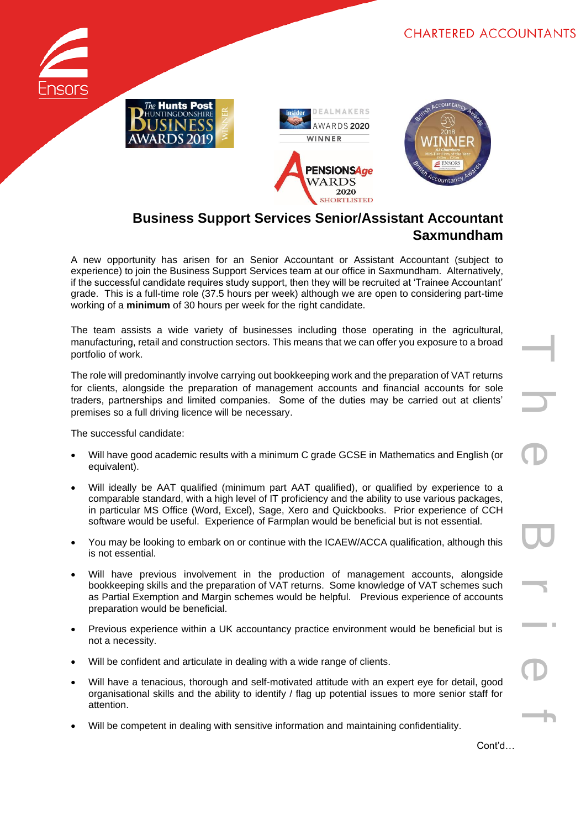







## **Business Support Services Senior/Assistant Accountant Saxmundham**

A new opportunity has arisen for an Senior Accountant or Assistant Accountant (subject to experience) to join the Business Support Services team at our office in Saxmundham. Alternatively, if the successful candidate requires study support, then they will be recruited at 'Trainee Accountant' grade. This is a full-time role (37.5 hours per week) although we are open to considering part-time working of a **minimum** of 30 hours per week for the right candidate.

The team assists a wide variety of businesses including those operating in the agricultural, manufacturing, retail and construction sectors. This means that we can offer you exposure to a broad portfolio of work.

The role will predominantly involve carrying out bookkeeping work and the preparation of VAT returns for clients, alongside the preparation of management accounts and financial accounts for sole traders, partnerships and limited companies. Some of the duties may be carried out at clients' premises so a full driving licence will be necessary.

The successful candidate:

- Will have good academic results with a minimum C grade GCSE in Mathematics and English (or equivalent).
- Will ideally be AAT qualified (minimum part AAT qualified), or qualified by experience to a comparable standard, with a high level of IT proficiency and the ability to use various packages, in particular MS Office (Word, Excel), Sage, Xero and Quickbooks. Prior experience of CCH software would be useful. Experience of Farmplan would be beneficial but is not essential.
- You may be looking to embark on or continue with the ICAEW/ACCA qualification, although this is not essential.
- Will have previous involvement in the production of management accounts, alongside bookkeeping skills and the preparation of VAT returns. Some knowledge of VAT schemes such as Partial Exemption and Margin schemes would be helpful. Previous experience of accounts preparation would be beneficial.
- Previous experience within a UK accountancy practice environment would be beneficial but is not a necessity.
- Will be confident and articulate in dealing with a wide range of clients.
- Will have a tenacious, thorough and self-motivated attitude with an expert eye for detail, good organisational skills and the ability to identify / flag up potential issues to more senior staff for attention.
- Will be competent in dealing with sensitive information and maintaining confidentiality.

Cont'd…

T h e B r i e f